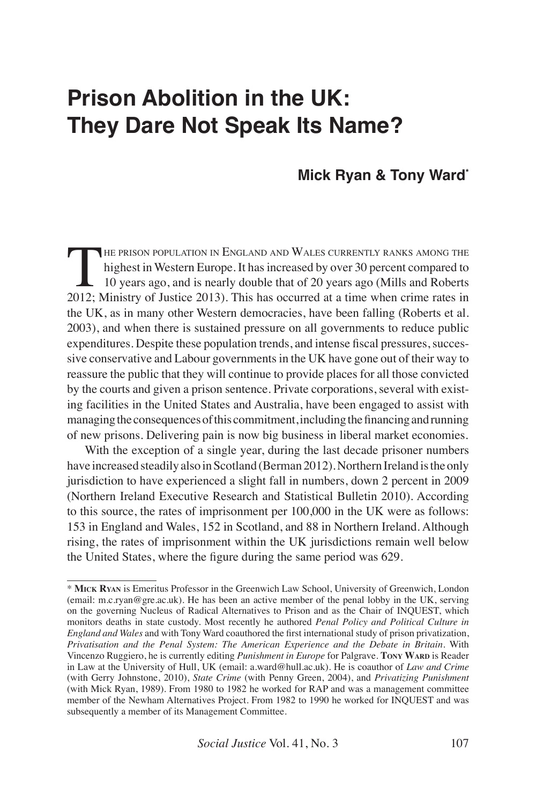# **Prison Abolition in the UK: They Dare Not Speak Its Name?**

# **Mick Ryan & Tony Ward\***

THE PRISON POPULATION IN ENGLAND AND WALES CURRENTLY RANKS AMONG THE<br>highest in Western Europe. It has increased by over 30 percent compared to<br>10 years ago, and is nearly double that of 20 years ago (Mills and Roberts<br>201 highest in Western Europe. It has increased by over 30 percent compared to 10 years ago, and is nearly double that of 20 years ago (Mills and Roberts 2012; Ministry of Justice 2013). This has occurred at a time when crime rates in the UK, as in many other Western democracies, have been falling (Roberts et al. 2003), and when there is sustained pressure on all governments to reduce public expenditures. Despite these population trends, and intense fiscal pressures, successive conservative and Labour governments in the UK have gone out of their way to reassure the public that they will continue to provide places for all those convicted by the courts and given a prison sentence. Private corporations, several with existing facilities in the United States and Australia, have been engaged to assist with managing the consequences of this commitment, including the financing and running of new prisons. Delivering pain is now big business in liberal market economies.

With the exception of a single year, during the last decade prisoner numbers have increased steadily also in Scotland (Berman 2012). Northern Ireland is the only jurisdiction to have experienced a slight fall in numbers, down 2 percent in 2009 (Northern Ireland Executive Research and Statistical Bulletin 2010). According to this source, the rates of imprisonment per 100,000 in the UK were as follows: 153 in England and Wales, 152 in Scotland, and 88 in Northern Ireland. Although rising, the rates of imprisonment within the UK jurisdictions remain well below the United States, where the figure during the same period was 629.

<sup>\*</sup> **Mick Ryan** is Emeritus Professor in the Greenwich Law School, University of Greenwich, London (email: m.c.ryan@gre.ac.uk). He has been an active member of the penal lobby in the UK, serving on the governing Nucleus of Radical Alternatives to Prison and as the Chair of INQUEST, which monitors deaths in state custody. Most recently he authored *Penal Policy and Political Culture in England and Wales* and with Tony Ward coauthored the first international study of prison privatization, *Privatisation and the Penal System: The American Experience and the Debate in Britain*. With Vincenzo Ruggiero, he is currently editing *Punishment in Europe* for Palgrave. **Tony WARD** is Reader in Law at the University of Hull, UK (email: a.ward@hull.ac.uk). He is coauthor of *Law and Crime* (with Gerry Johnstone, 2010), *State Crime* (with Penny Green, 2004), and *Privatizing Punishment* (with Mick Ryan, 1989). From 1980 to 1982 he worked for RAP and was a management committee member of the Newham Alternatives Project. From 1982 to 1990 he worked for INQUEST and was subsequently a member of its Management Committee.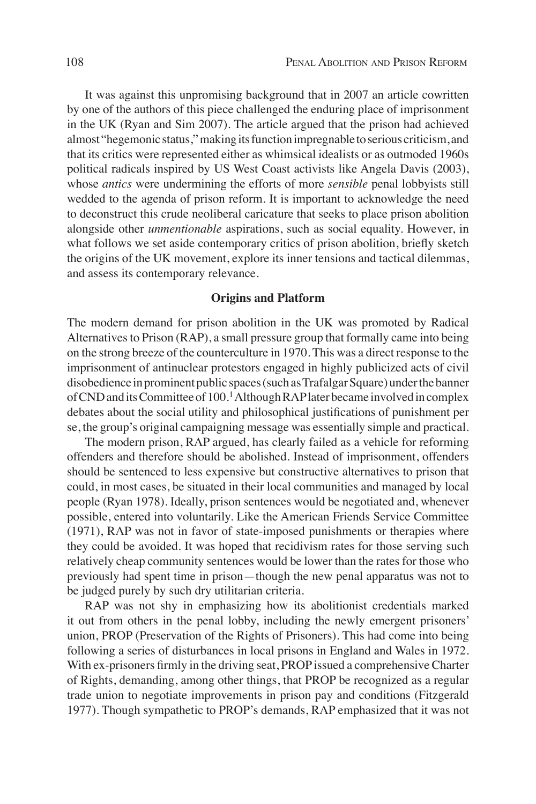It was against this unpromising background that in 2007 an article cowritten by one of the authors of this piece challenged the enduring place of imprisonment in the UK (Ryan and Sim 2007). The article argued that the prison had achieved almost "hegemonic status," making its function impregnable to serious criticism, and that its critics were represented either as whimsical idealists or as outmoded 1960s political radicals inspired by US West Coast activists like Angela Davis (2003), whose *antics* were undermining the efforts of more *sensible* penal lobbyists still wedded to the agenda of prison reform. It is important to acknowledge the need to deconstruct this crude neoliberal caricature that seeks to place prison abolition alongside other *unmentionable* aspirations, such as social equality. However, in what follows we set aside contemporary critics of prison abolition, briefly sketch the origins of the UK movement, explore its inner tensions and tactical dilemmas, and assess its contemporary relevance.

## **Origins and Platform**

The modern demand for prison abolition in the UK was promoted by Radical Alternatives to Prison (RAP), a small pressure group that formally came into being on the strong breeze of the counterculture in 1970. This was a direct response to the imprisonment of antinuclear protestors engaged in highly publicized acts of civil disobedience in prominent public spaces (such as Trafalgar Square) under the banner of CND and its Committee of 100.<sup>1</sup> Although RAP later became involved in complex debates about the social utility and philosophical justifications of punishment per se, the group's original campaigning message was essentially simple and practical.

The modern prison, RAP argued, has clearly failed as a vehicle for reforming offenders and therefore should be abolished. Instead of imprisonment, offenders should be sentenced to less expensive but constructive alternatives to prison that could, in most cases, be situated in their local communities and managed by local people (Ryan 1978). Ideally, prison sentences would be negotiated and, whenever possible, entered into voluntarily. Like the American Friends Service Committee (1971), RAP was not in favor of state-imposed punishments or therapies where they could be avoided. It was hoped that recidivism rates for those serving such relatively cheap community sentences would be lower than the rates for those who previously had spent time in prison—though the new penal apparatus was not to be judged purely by such dry utilitarian criteria.

RAP was not shy in emphasizing how its abolitionist credentials marked it out from others in the penal lobby, including the newly emergent prisoners' union, PROP (Preservation of the Rights of Prisoners). This had come into being following a series of disturbances in local prisons in England and Wales in 1972. With ex-prisoners firmly in the driving seat, PROP issued a comprehensive Charter of Rights, demanding, among other things, that PROP be recognized as a regular trade union to negotiate improvements in prison pay and conditions (Fitzgerald 1977). Though sympathetic to PROP's demands, RAP emphasized that it was not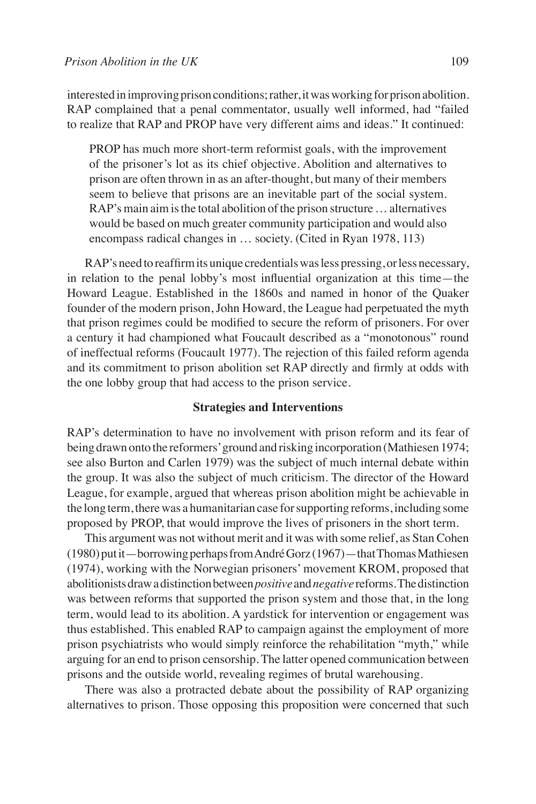interested in improving prison conditions; rather, it was working for prison abolition. RAP complained that a penal commentator, usually well informed, had "failed to realize that RAP and PROP have very different aims and ideas." It continued:

PROP has much more short-term reformist goals, with the improvement of the prisoner's lot as its chief objective. Abolition and alternatives to prison are often thrown in as an after-thought, but many of their members seem to believe that prisons are an inevitable part of the social system. RAP's main aim is the total abolition of the prison structure … alternatives would be based on much greater community participation and would also encompass radical changes in … society. (Cited in Ryan 1978, 113)

RAP's need to reaffirm its unique credentials was less pressing, or less necessary, in relation to the penal lobby's most influential organization at this time—the Howard League. Established in the 1860s and named in honor of the Quaker founder of the modern prison, John Howard, the League had perpetuated the myth that prison regimes could be modified to secure the reform of prisoners. For over a century it had championed what Foucault described as a "monotonous" round of ineffectual reforms (Foucault 1977). The rejection of this failed reform agenda and its commitment to prison abolition set RAP directly and firmly at odds with the one lobby group that had access to the prison service.

# **Strategies and Interventions**

RAP's determination to have no involvement with prison reform and its fear of being drawn onto the reformers' ground and risking incorporation (Mathiesen 1974; see also Burton and Carlen 1979) was the subject of much internal debate within the group. It was also the subject of much criticism. The director of the Howard League, for example, argued that whereas prison abolition might be achievable in the long term, there was a humanitarian case for supporting reforms, including some proposed by PROP, that would improve the lives of prisoners in the short term.

This argument was not without merit and it was with some relief, as Stan Cohen (1980) put it—borrowing perhaps from André Gorz (1967)—that Thomas Mathiesen (1974), working with the Norwegian prisoners' movement KROM, proposed that abolitionists draw a distinction between *positive* and *negative* reforms. The distinction was between reforms that supported the prison system and those that, in the long term, would lead to its abolition. A yardstick for intervention or engagement was thus established. This enabled RAP to campaign against the employment of more prison psychiatrists who would simply reinforce the rehabilitation "myth," while arguing for an end to prison censorship. The latter opened communication between prisons and the outside world, revealing regimes of brutal warehousing.

There was also a protracted debate about the possibility of RAP organizing alternatives to prison. Those opposing this proposition were concerned that such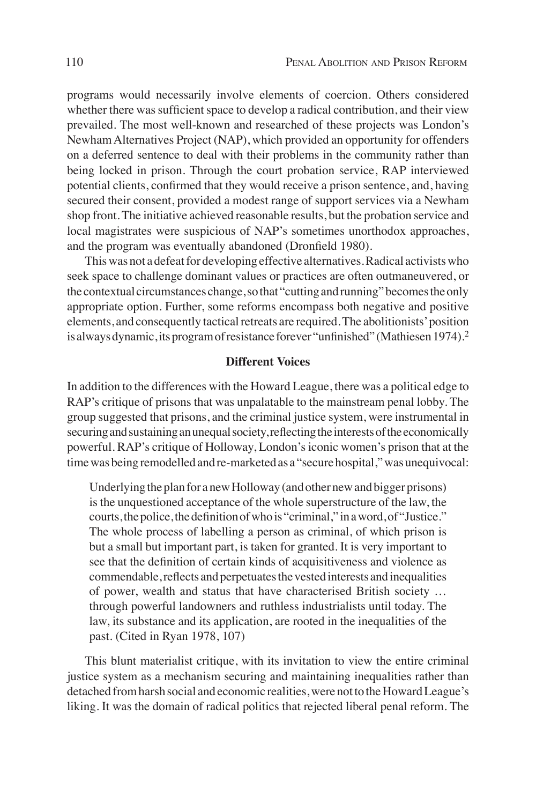programs would necessarily involve elements of coercion. Others considered whether there was sufficient space to develop a radical contribution, and their view prevailed. The most well-known and researched of these projects was London's Newham Alternatives Project (NAP), which provided an opportunity for offenders on a deferred sentence to deal with their problems in the community rather than being locked in prison. Through the court probation service, RAP interviewed potential clients, confirmed that they would receive a prison sentence, and, having secured their consent, provided a modest range of support services via a Newham shop front. The initiative achieved reasonable results, but the probation service and local magistrates were suspicious of NAP's sometimes unorthodox approaches, and the program was eventually abandoned (Dronfield 1980).

This was not a defeat for developing effective alternatives. Radical activists who seek space to challenge dominant values or practices are often outmaneuvered, or the contextual circumstances change, so that "cutting and running" becomes the only appropriate option. Further, some reforms encompass both negative and positive elements, and consequently tactical retreats are required. The abolitionists' position is always dynamic, its program of resistance forever "unfinished" (Mathiesen 1974).<sup>2</sup>

# **Different Voices**

In addition to the differences with the Howard League, there was a political edge to RAP's critique of prisons that was unpalatable to the mainstream penal lobby. The group suggested that prisons, and the criminal justice system, were instrumental in securing and sustaining an unequal society, reflecting the interests of the economically powerful. RAP's critique of Holloway, London's iconic women's prison that at the time was being remodelled and re-marketed as a "secure hospital," was unequivocal:

Underlying the plan for a new Holloway (and other new and bigger prisons) is the unquestioned acceptance of the whole superstructure of the law, the courts, the police, the definition of who is "criminal," in a word, of "Justice." The whole process of labelling a person as criminal, of which prison is but a small but important part, is taken for granted. It is very important to see that the definition of certain kinds of acquisitiveness and violence as commendable, reflects and perpetuates the vested interests and inequalities of power, wealth and status that have characterised British society … through powerful landowners and ruthless industrialists until today. The law, its substance and its application, are rooted in the inequalities of the past. (Cited in Ryan 1978, 107)

This blunt materialist critique, with its invitation to view the entire criminal justice system as a mechanism securing and maintaining inequalities rather than detached from harsh social and economic realities, were not to the Howard League's liking. It was the domain of radical politics that rejected liberal penal reform. The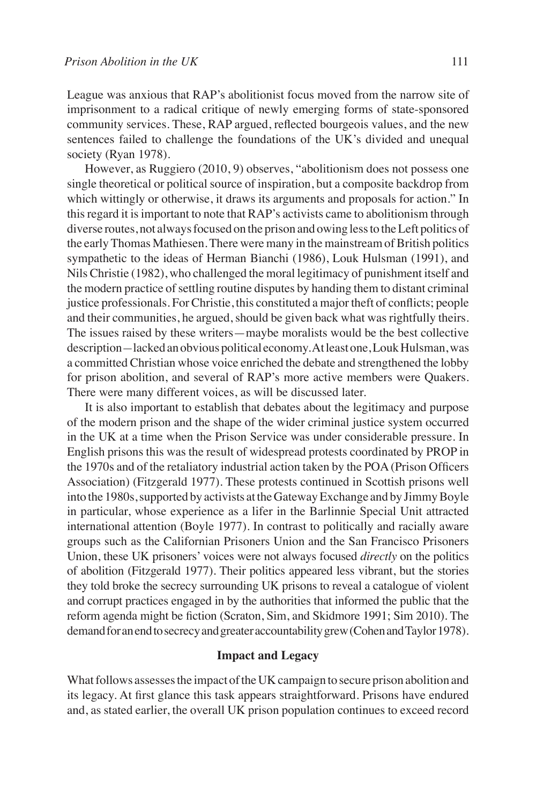League was anxious that RAP's abolitionist focus moved from the narrow site of imprisonment to a radical critique of newly emerging forms of state-sponsored community services. These, RAP argued, reflected bourgeois values, and the new sentences failed to challenge the foundations of the UK's divided and unequal society (Ryan 1978).

However, as Ruggiero (2010, 9) observes, "abolitionism does not possess one single theoretical or political source of inspiration, but a composite backdrop from which wittingly or otherwise, it draws its arguments and proposals for action." In this regard it is important to note that RAP's activists came to abolitionism through diverse routes, not always focused on the prison and owing less to the Left politics of the early Thomas Mathiesen. There were many in the mainstream of British politics sympathetic to the ideas of Herman Bianchi (1986), Louk Hulsman (1991), and Nils Christie (1982), who challenged the moral legitimacy of punishment itself and the modern practice of settling routine disputes by handing them to distant criminal justice professionals. For Christie, this constituted a major theft of conflicts; people and their communities, he argued, should be given back what was rightfully theirs. The issues raised by these writers—maybe moralists would be the best collective description*—*lacked an obvious political economy. At least one, Louk Hulsman, was a committed Christian whose voice enriched the debate and strengthened the lobby for prison abolition, and several of RAP's more active members were Quakers. There were many different voices, as will be discussed later.

It is also important to establish that debates about the legitimacy and purpose of the modern prison and the shape of the wider criminal justice system occurred in the UK at a time when the Prison Service was under considerable pressure. In English prisons this was the result of widespread protests coordinated by PROP in the 1970s and of the retaliatory industrial action taken by the POA (Prison Officers Association) (Fitzgerald 1977). These protests continued in Scottish prisons well into the 1980s, supported by activists at the Gateway Exchange and by Jimmy Boyle in particular, whose experience as a lifer in the Barlinnie Special Unit attracted international attention (Boyle 1977). In contrast to politically and racially aware groups such as the Californian Prisoners Union and the San Francisco Prisoners Union, these UK prisoners' voices were not always focused *directly* on the politics of abolition (Fitzgerald 1977). Their politics appeared less vibrant, but the stories they told broke the secrecy surrounding UK prisons to reveal a catalogue of violent and corrupt practices engaged in by the authorities that informed the public that the reform agenda might be fiction (Scraton, Sim, and Skidmore 1991; Sim 2010). The demand for an end to secrecy and greater accountability grew (Cohen and Taylor 1978).

# **Impact and Legacy**

What follows assesses the impact of the UK campaign to secure prison abolition and its legacy. At first glance this task appears straightforward. Prisons have endured and, as stated earlier, the overall UK prison population continues to exceed record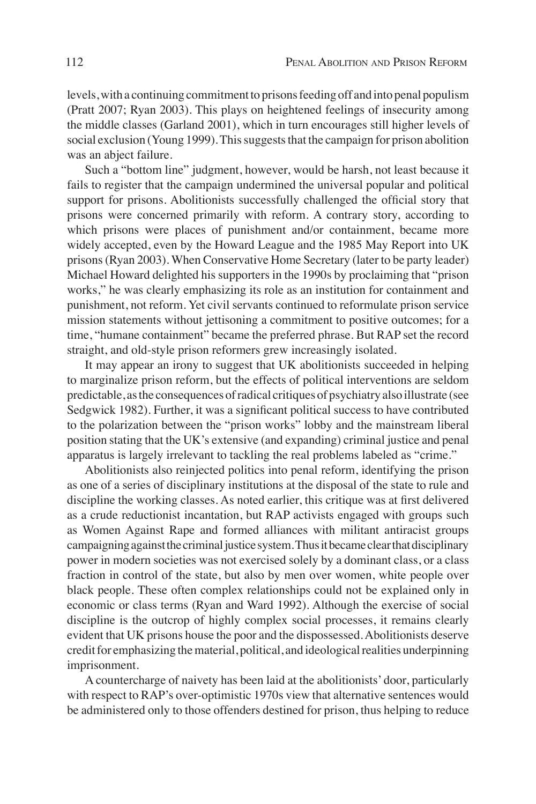levels, with a continuing commitment to prisons feeding off and into penal populism (Pratt 2007; Ryan 2003). This plays on heightened feelings of insecurity among the middle classes (Garland 2001), which in turn encourages still higher levels of social exclusion (Young 1999). This suggests that the campaign for prison abolition was an abject failure.

Such a "bottom line" judgment, however, would be harsh, not least because it fails to register that the campaign undermined the universal popular and political support for prisons. Abolitionists successfully challenged the official story that prisons were concerned primarily with reform. A contrary story, according to which prisons were places of punishment and/or containment, became more widely accepted, even by the Howard League and the 1985 May Report into UK prisons (Ryan 2003). When Conservative Home Secretary (later to be party leader) Michael Howard delighted his supporters in the 1990s by proclaiming that "prison works," he was clearly emphasizing its role as an institution for containment and punishment, not reform. Yet civil servants continued to reformulate prison service mission statements without jettisoning a commitment to positive outcomes; for a time, "humane containment" became the preferred phrase. But RAP set the record straight, and old-style prison reformers grew increasingly isolated.

It may appear an irony to suggest that UK abolitionists succeeded in helping to marginalize prison reform, but the effects of political interventions are seldom predictable, as the consequences of radical critiques of psychiatry also illustrate (see Sedgwick 1982). Further, it was a significant political success to have contributed to the polarization between the "prison works" lobby and the mainstream liberal position stating that the UK's extensive (and expanding) criminal justice and penal apparatus is largely irrelevant to tackling the real problems labeled as "crime."

Abolitionists also reinjected politics into penal reform, identifying the prison as one of a series of disciplinary institutions at the disposal of the state to rule and discipline the working classes. As noted earlier, this critique was at first delivered as a crude reductionist incantation, but RAP activists engaged with groups such as Women Against Rape and formed alliances with militant antiracist groups campaigning against the criminal justice system. Thus it became clear that disciplinary power in modern societies was not exercised solely by a dominant class, or a class fraction in control of the state, but also by men over women, white people over black people. These often complex relationships could not be explained only in economic or class terms (Ryan and Ward 1992). Although the exercise of social discipline is the outcrop of highly complex social processes, it remains clearly evident that UK prisons house the poor and the dispossessed. Abolitionists deserve credit for emphasizing the material, political, and ideological realities underpinning imprisonment.

A countercharge of naivety has been laid at the abolitionists' door, particularly with respect to RAP's over-optimistic 1970s view that alternative sentences would be administered only to those offenders destined for prison, thus helping to reduce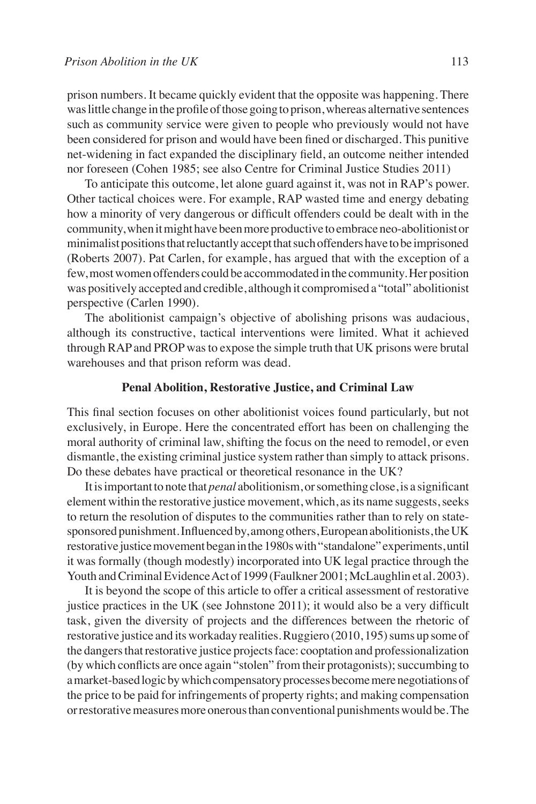prison numbers. It became quickly evident that the opposite was happening. There was little change in the profile of those going to prison, whereas alternative sentences such as community service were given to people who previously would not have been considered for prison and would have been fined or discharged. This punitive net-widening in fact expanded the disciplinary field, an outcome neither intended nor foreseen (Cohen 1985; see also Centre for Criminal Justice Studies 2011)

To anticipate this outcome, let alone guard against it, was not in RAP's power. Other tactical choices were. For example, RAP wasted time and energy debating how a minority of very dangerous or difficult offenders could be dealt with in the community, when it might have been more productive to embrace neo-abolitionist or minimalist positions that reluctantly accept that such offenders have to be imprisoned (Roberts 2007). Pat Carlen, for example, has argued that with the exception of a few, most women offenders could be accommodated in the community. Her position was positively accepted and credible, although it compromised a "total" abolitionist perspective (Carlen 1990).

The abolitionist campaign's objective of abolishing prisons was audacious, although its constructive, tactical interventions were limited. What it achieved through RAP and PROP was to expose the simple truth that UK prisons were brutal warehouses and that prison reform was dead.

# **Penal Abolition, Restorative Justice, and Criminal Law**

This final section focuses on other abolitionist voices found particularly, but not exclusively, in Europe. Here the concentrated effort has been on challenging the moral authority of criminal law, shifting the focus on the need to remodel, or even dismantle, the existing criminal justice system rather than simply to attack prisons. Do these debates have practical or theoretical resonance in the UK?

It is important to note that *penal* abolitionism, or something close, is a significant element within the restorative justice movement, which, as its name suggests, seeks to return the resolution of disputes to the communities rather than to rely on statesponsored punishment. Influenced by, among others, European abolitionists, the UK restorative justice movement began in the 1980s with "standalone" experiments, until it was formally (though modestly) incorporated into UK legal practice through the Youth and Criminal Evidence Act of 1999 (Faulkner 2001; McLaughlin et al. 2003).

It is beyond the scope of this article to offer a critical assessment of restorative justice practices in the UK (see Johnstone 2011); it would also be a very difficult task, given the diversity of projects and the differences between the rhetoric of restorative justice and its workaday realities. Ruggiero (2010, 195) sums up some of the dangers that restorative justice projects face: cooptation and professionalization (by which conflicts are once again "stolen" from their protagonists); succumbing to a market-based logic by which compensatory processes become mere negotiations of the price to be paid for infringements of property rights; and making compensation or restorative measures more onerous than conventional punishments would be. The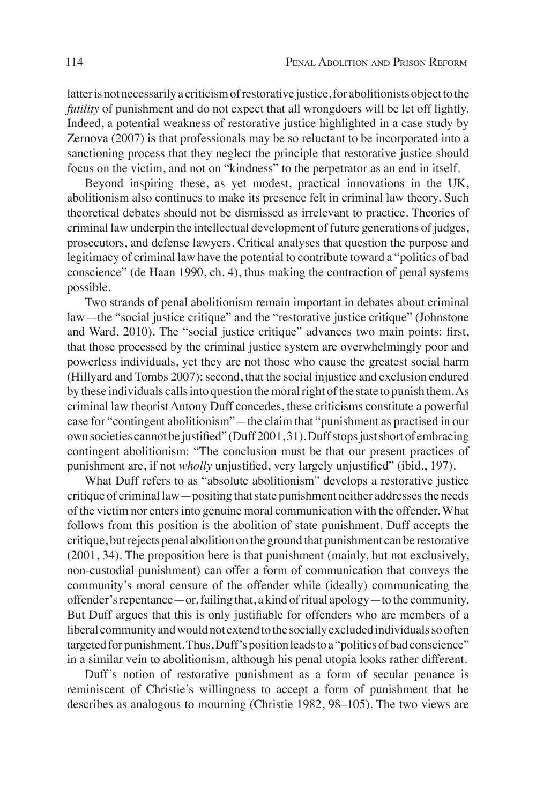latter is not necessarily a criticism of restorative justice, for abolitionists object to the *futility* of punishment and do not expect that all wrongdoers will be let off lightly. Indeed, a potential weakness of restorative justice highlighted in a case study by Zernova (2007) is that professionals may be so reluctant to be incorporated into a sanctioning process that they neglect the principle that restorative justice should focus on the victim, and not on "kindness" to the perpetrator as an end in itself.

Beyond inspiring these, as yet modest, practical innovations in the UK, abolitionism also continues to make its presence felt in criminal law theory. Such theoretical debates should not be dismissed as irrelevant to practice. Theories of criminal law underpin the intellectual development of future generations of judges, prosecutors, and defense lawyers. Critical analyses that question the purpose and legitimacy of criminal law have the potential to contribute toward a "politics of bad conscience" (de Haan 1990, ch. 4), thus making the contraction of penal systems possible.

Two strands of penal abolitionism remain important in debates about criminal law—the "social justice critique" and the "restorative justice critique" (Johnstone and Ward, 2010). The "social justice critique" advances two main points: first, that those processed by the criminal justice system are overwhelmingly poor and powerless individuals, yet they are not those who cause the greatest social harm (Hillyard and Tombs 2007); second, that the social injustice and exclusion endured by these individuals calls into question the moral right of the state to punish them. As criminal law theorist Antony Duff concedes, these criticisms constitute a powerful case for "contingent abolitionism"—the claim that "punishment as practised in our own societies cannot be justified" (Duff 2001, 31). Duff stops just short of embracing contingent abolitionism: "The conclusion must be that our present practices of punishment are, if not *wholly* unjustified, very largely unjustified" (ibid., 197).

What Duff refers to as "absolute abolitionism" develops a restorative justice critique of criminal law—positing that state punishment neither addresses the needs of the victim nor enters into genuine moral communication with the offender. What follows from this position is the abolition of state punishment. Duff accepts the critique, but rejects penal abolition on the ground that punishment can be restorative (2001, 34). The proposition here is that punishment (mainly, but not exclusively, non-custodial punishment) can offer a form of communication that conveys the community's moral censure of the offender while (ideally) communicating the offender's repentance—or, failing that, a kind of ritual apology—to the community. But Duff argues that this is only justifiable for offenders who are members of a liberal community and would not extend to the socially excluded individuals so often targeted for punishment. Thus, Duff's position leads to a "politics of bad conscience" in a similar vein to abolitionism, although his penal utopia looks rather different.

Duff's notion of restorative punishment as a form of secular penance is reminiscent of Christie's willingness to accept a form of punishment that he describes as analogous to mourning (Christie 1982, 98–105). The two views are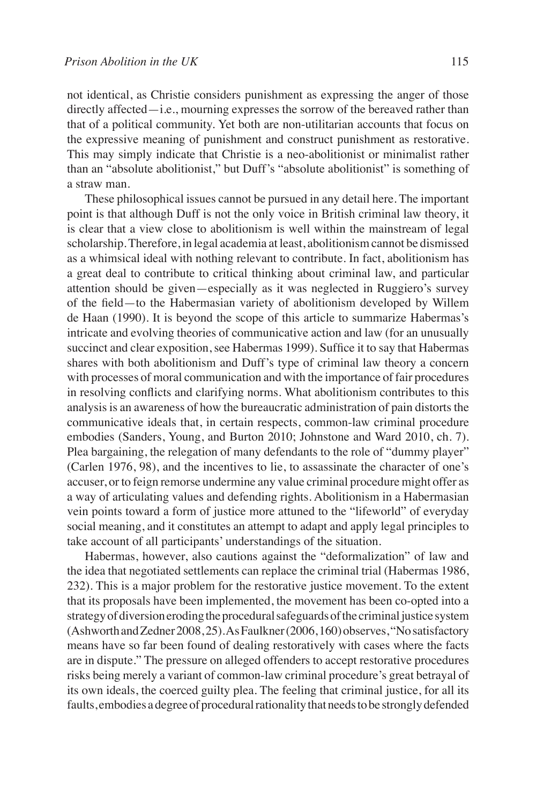not identical, as Christie considers punishment as expressing the anger of those directly affected—i.e., mourning expresses the sorrow of the bereaved rather than that of a political community. Yet both are non-utilitarian accounts that focus on the expressive meaning of punishment and construct punishment as restorative. This may simply indicate that Christie is a neo-abolitionist or minimalist rather than an "absolute abolitionist," but Duff's "absolute abolitionist" is something of a straw man.

These philosophical issues cannot be pursued in any detail here. The important point is that although Duff is not the only voice in British criminal law theory, it is clear that a view close to abolitionism is well within the mainstream of legal scholarship. Therefore, in legal academia at least, abolitionism cannot be dismissed as a whimsical ideal with nothing relevant to contribute. In fact, abolitionism has a great deal to contribute to critical thinking about criminal law, and particular attention should be given—especially as it was neglected in Ruggiero's survey of the field—to the Habermasian variety of abolitionism developed by Willem de Haan (1990). It is beyond the scope of this article to summarize Habermas's intricate and evolving theories of communicative action and law (for an unusually succinct and clear exposition, see Habermas 1999). Suffice it to say that Habermas shares with both abolitionism and Duff's type of criminal law theory a concern with processes of moral communication and with the importance of fair procedures in resolving conflicts and clarifying norms. What abolitionism contributes to this analysis is an awareness of how the bureaucratic administration of pain distorts the communicative ideals that, in certain respects, common-law criminal procedure embodies (Sanders, Young, and Burton 2010; Johnstone and Ward 2010, ch. 7). Plea bargaining, the relegation of many defendants to the role of "dummy player" (Carlen 1976, 98), and the incentives to lie, to assassinate the character of one's accuser, or to feign remorse undermine any value criminal procedure might offer as a way of articulating values and defending rights. Abolitionism in a Habermasian vein points toward a form of justice more attuned to the "lifeworld" of everyday social meaning, and it constitutes an attempt to adapt and apply legal principles to take account of all participants' understandings of the situation.

Habermas, however, also cautions against the "deformalization" of law and the idea that negotiated settlements can replace the criminal trial (Habermas 1986, 232). This is a major problem for the restorative justice movement. To the extent that its proposals have been implemented, the movement has been co-opted into a strategy of diversion eroding the procedural safeguards of the criminal justice system (Ashworth and Zedner 2008, 25). As Faulkner (2006, 160) observes, "No satisfactory means have so far been found of dealing restoratively with cases where the facts are in dispute." The pressure on alleged offenders to accept restorative procedures risks being merely a variant of common-law criminal procedure's great betrayal of its own ideals, the coerced guilty plea. The feeling that criminal justice, for all its faults, embodies a degree of procedural rationality that needs to be strongly defended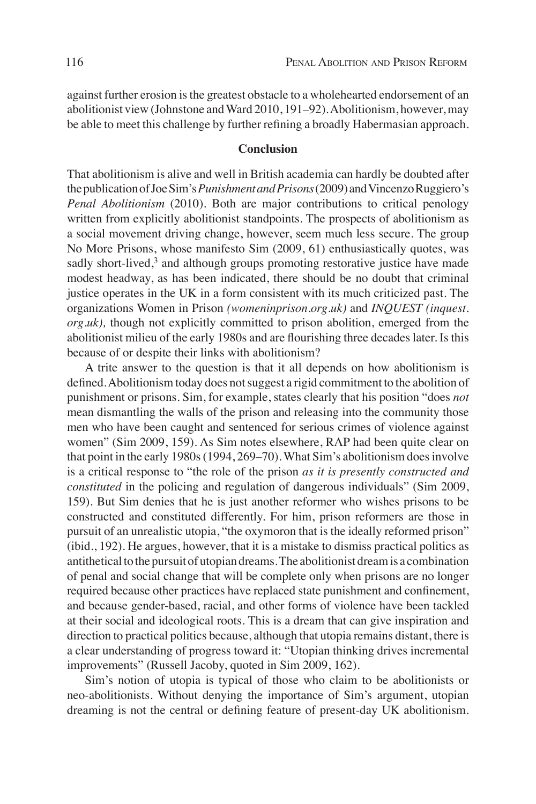against further erosion is the greatest obstacle to a wholehearted endorsement of an abolitionist view (Johnstone and Ward 2010, 191–92). Abolitionism, however, may be able to meet this challenge by further refining a broadly Habermasian approach.

## **Conclusion**

That abolitionism is alive and well in British academia can hardly be doubted after the publication of Joe Sim's *Punishment and Prisons* (2009) and Vincenzo Ruggiero's *Penal Abolitionism* (2010). Both are major contributions to critical penology written from explicitly abolitionist standpoints. The prospects of abolitionism as a social movement driving change, however, seem much less secure. The group No More Prisons, whose manifesto Sim (2009, 61) enthusiastically quotes, was sadly short-lived, $3$  and although groups promoting restorative justice have made modest headway, as has been indicated, there should be no doubt that criminal justice operates in the UK in a form consistent with its much criticized past. The organizations Women in Prison *(womeninprison.org.uk)* and *INQUEST (inquest. org.uk),* though not explicitly committed to prison abolition, emerged from the abolitionist milieu of the early 1980s and are flourishing three decades later. Is this because of or despite their links with abolitionism?

A trite answer to the question is that it all depends on how abolitionism is defined. Abolitionism today does not suggest a rigid commitment to the abolition of punishment or prisons. Sim, for example, states clearly that his position "does *not*  mean dismantling the walls of the prison and releasing into the community those men who have been caught and sentenced for serious crimes of violence against women" (Sim 2009, 159). As Sim notes elsewhere, RAP had been quite clear on that point in the early 1980s (1994, 269–70). What Sim's abolitionism does involve is a critical response to "the role of the prison *as it is presently constructed and constituted* in the policing and regulation of dangerous individuals" (Sim 2009, 159). But Sim denies that he is just another reformer who wishes prisons to be constructed and constituted differently. For him, prison reformers are those in pursuit of an unrealistic utopia, "the oxymoron that is the ideally reformed prison" (ibid., 192). He argues, however, that it is a mistake to dismiss practical politics as antithetical to the pursuit of utopian dreams. The abolitionist dream is a combination of penal and social change that will be complete only when prisons are no longer required because other practices have replaced state punishment and confinement, and because gender-based, racial, and other forms of violence have been tackled at their social and ideological roots. This is a dream that can give inspiration and direction to practical politics because, although that utopia remains distant, there is a clear understanding of progress toward it: "Utopian thinking drives incremental improvements" (Russell Jacoby, quoted in Sim 2009, 162).

Sim's notion of utopia is typical of those who claim to be abolitionists or neo-abolitionists. Without denying the importance of Sim's argument, utopian dreaming is not the central or defining feature of present-day UK abolitionism.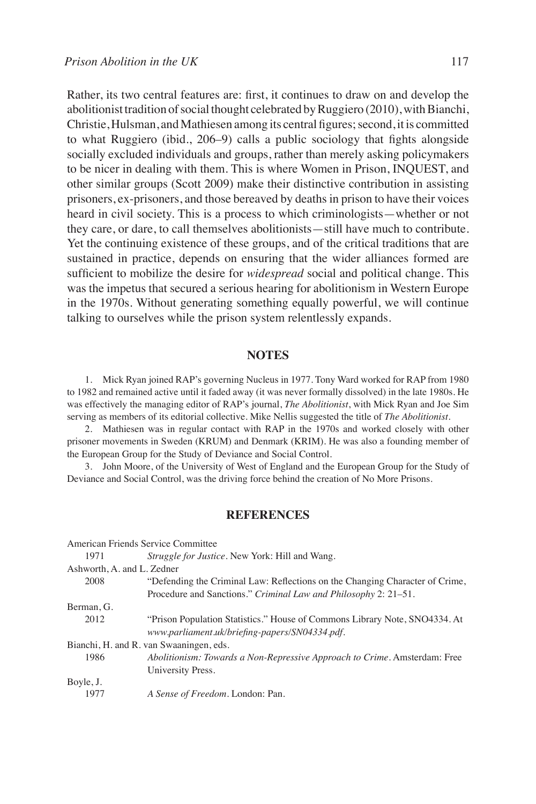Rather, its two central features are: first, it continues to draw on and develop the abolitionist tradition of social thought celebrated by Ruggiero (2010), with Bianchi, Christie, Hulsman, and Mathiesen among its central figures; second, it is committed to what Ruggiero (ibid., 206–9) calls a public sociology that fights alongside socially excluded individuals and groups, rather than merely asking policymakers to be nicer in dealing with them. This is where Women in Prison, INQUEST, and other similar groups (Scott 2009) make their distinctive contribution in assisting prisoners, ex-prisoners, and those bereaved by deaths in prison to have their voices heard in civil society. This is a process to which criminologists—whether or not they care, or dare, to call themselves abolitionists—still have much to contribute. Yet the continuing existence of these groups, and of the critical traditions that are sustained in practice, depends on ensuring that the wider alliances formed are sufficient to mobilize the desire for *widespread* social and political change. This

was the impetus that secured a serious hearing for abolitionism in Western Europe in the 1970s. Without generating something equally powerful, we will continue talking to ourselves while the prison system relentlessly expands.

## **NOTES**

1. Mick Ryan joined RAP's governing Nucleus in 1977. Tony Ward worked for RAP from 1980 to 1982 and remained active until it faded away (it was never formally dissolved) in the late 1980s. He was effectively the managing editor of RAP's journal, *The Abolitionist*, with Mick Ryan and Joe Sim serving as members of its editorial collective. Mike Nellis suggested the title of *The Abolitionist*.

2. Mathiesen was in regular contact with RAP in the 1970s and worked closely with other prisoner movements in Sweden (KRUM) and Denmark (KRIM). He was also a founding member of the European Group for the Study of Deviance and Social Control.

3. John Moore, of the University of West of England and the European Group for the Study of Deviance and Social Control, was the driving force behind the creation of No More Prisons.

## **REFERENCES**

|                            | American Friends Service Committee                                                                                           |
|----------------------------|------------------------------------------------------------------------------------------------------------------------------|
| 1971                       | <i>Struggle for Justice.</i> New York: Hill and Wang.                                                                        |
| Ashworth, A. and L. Zedner |                                                                                                                              |
| 2008                       | "Defending the Criminal Law: Reflections on the Changing Character of Crime,                                                 |
|                            | Procedure and Sanctions." Criminal Law and Philosophy 2: 21–51.                                                              |
| Berman, G.                 |                                                                                                                              |
| 2012                       | "Prison Population Statistics." House of Commons Library Note, SNO4334. At<br>www.parliament.uk/briefing-papers/SN04334.pdf. |
|                            | Bianchi, H. and R. van Swaaningen, eds.                                                                                      |
| 1986                       | Abolitionism: Towards a Non-Repressive Approach to Crime. Amsterdam: Free<br>University Press.                               |
| Boyle, J.                  |                                                                                                                              |
| 1977                       | A Sense of Freedom. London: Pan.                                                                                             |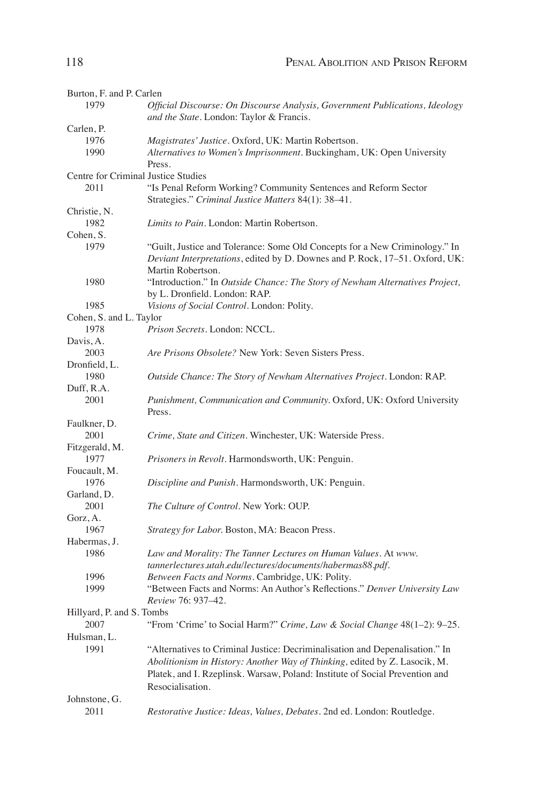| Burton, F. and P. Carlen            |                                                                              |
|-------------------------------------|------------------------------------------------------------------------------|
| 1979                                | Official Discourse: On Discourse Analysis, Government Publications, Ideology |
|                                     | and the State. London: Taylor & Francis.                                     |
| Carlen, P.                          |                                                                              |
| 1976                                | Magistrates' Justice. Oxford, UK: Martin Robertson.                          |
| 1990                                | Alternatives to Women's Imprisonment. Buckingham, UK: Open University        |
|                                     | Press.                                                                       |
| Centre for Criminal Justice Studies |                                                                              |
| 2011                                | "Is Penal Reform Working? Community Sentences and Reform Sector              |
|                                     | Strategies." Criminal Justice Matters 84(1): 38-41.                          |
| Christie, N.                        |                                                                              |
| 1982                                | <i>Limits to Pain.</i> London: Martin Robertson.                             |
| Cohen, S.                           |                                                                              |
| 1979                                | "Guilt, Justice and Tolerance: Some Old Concepts for a New Criminology." In  |
|                                     | Deviant Interpretations, edited by D. Downes and P. Rock, 17-51. Oxford, UK: |
|                                     |                                                                              |
|                                     | Martin Robertson.                                                            |
| 1980                                | "Introduction." In Outside Chance: The Story of Newham Alternatives Project, |
|                                     | by L. Dronfield. London: RAP.                                                |
| 1985                                | Visions of Social Control. London: Polity.                                   |
| Cohen, S. and L. Taylor             |                                                                              |
| 1978                                | Prison Secrets. London: NCCL.                                                |
| Davis, A.                           |                                                                              |
| 2003                                | Are Prisons Obsolete? New York: Seven Sisters Press.                         |
| Dronfield, L.                       |                                                                              |
| 1980                                | Outside Chance: The Story of Newham Alternatives Project. London: RAP.       |
| Duff, R.A.                          |                                                                              |
| 2001                                | Punishment, Communication and Community. Oxford, UK: Oxford University       |
|                                     | Press.                                                                       |
| Faulkner, D.                        |                                                                              |
| 2001                                | Crime, State and Citizen. Winchester, UK: Waterside Press.                   |
| Fitzgerald, M.                      |                                                                              |
| 1977                                | <i>Prisoners in Revolt.</i> Harmondsworth, UK: Penguin.                      |
| Foucault, M.                        |                                                                              |
| 1976                                | Discipline and Punish. Harmondsworth, UK: Penguin.                           |
| Garland, D.                         |                                                                              |
| 2001                                | The Culture of Control. New York: OUP.                                       |
| Gorz, A.                            |                                                                              |
| 1967                                |                                                                              |
|                                     | Strategy for Labor. Boston, MA: Beacon Press.                                |
| Habermas, J.                        |                                                                              |
| 1986                                | Law and Morality: The Tanner Lectures on Human Values. At www.               |
|                                     | tannerlectures.utah.edu/lectures/documents/habermas88.pdf.                   |
| 1996                                | Between Facts and Norms. Cambridge, UK: Polity.                              |
| 1999                                | "Between Facts and Norms: An Author's Reflections." Denver University Law    |
|                                     | Review 76: 937–42.                                                           |
| Hillyard, P. and S. Tombs           |                                                                              |
| 2007                                | "From 'Crime' to Social Harm?" Crime, Law & Social Change 48(1-2): 9-25.     |
| Hulsman, L.                         |                                                                              |
| 1991                                | "Alternatives to Criminal Justice: Decriminalisation and Depenalisation." In |
|                                     | Abolitionism in History: Another Way of Thinking, edited by Z. Lasocik, M.   |
|                                     | Platek, and I. Rzeplinsk. Warsaw, Poland: Institute of Social Prevention and |
|                                     | Resocialisation.                                                             |
|                                     |                                                                              |
| Johnstone, G.                       |                                                                              |
| 2011                                | Restorative Justice: Ideas, Values, Debates. 2nd ed. London: Routledge.      |